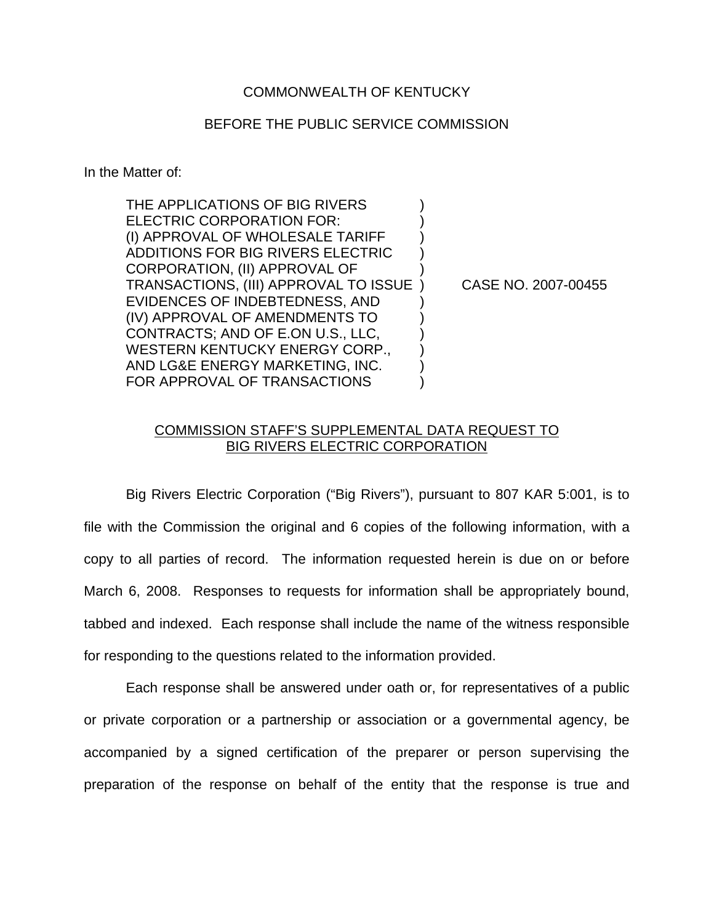## COMMONWEALTH OF KENTUCKY

## BEFORE THE PUBLIC SERVICE COMMISSION

In the Matter of:

THE APPLICATIONS OF BIG RIVERS ELECTRIC CORPORATION FOR: (I) APPROVAL OF WHOLESALE TARIFF ) ADDITIONS FOR BIG RIVERS ELECTRIC ) CORPORATION, (II) APPROVAL OF ) TRANSACTIONS, (III) APPROVAL TO ISSUE ) CASE NO. 2007-00455 EVIDENCES OF INDEBTEDNESS, AND ) (IV) APPROVAL OF AMENDMENTS TO ) CONTRACTS; AND OF E.ON U.S., LLC, ) WESTERN KENTUCKY ENERGY CORP., AND LG&E ENERGY MARKETING, INC. ) FOR APPROVAL OF TRANSACTIONS

## COMMISSION STAFF'S SUPPLEMENTAL DATA REQUEST TO BIG RIVERS ELECTRIC CORPORATION

Big Rivers Electric Corporation ("Big Rivers"), pursuant to 807 KAR 5:001, is to file with the Commission the original and 6 copies of the following information, with a copy to all parties of record. The information requested herein is due on or before March 6, 2008. Responses to requests for information shall be appropriately bound, tabbed and indexed. Each response shall include the name of the witness responsible for responding to the questions related to the information provided.

Each response shall be answered under oath or, for representatives of a public or private corporation or a partnership or association or a governmental agency, be accompanied by a signed certification of the preparer or person supervising the preparation of the response on behalf of the entity that the response is true and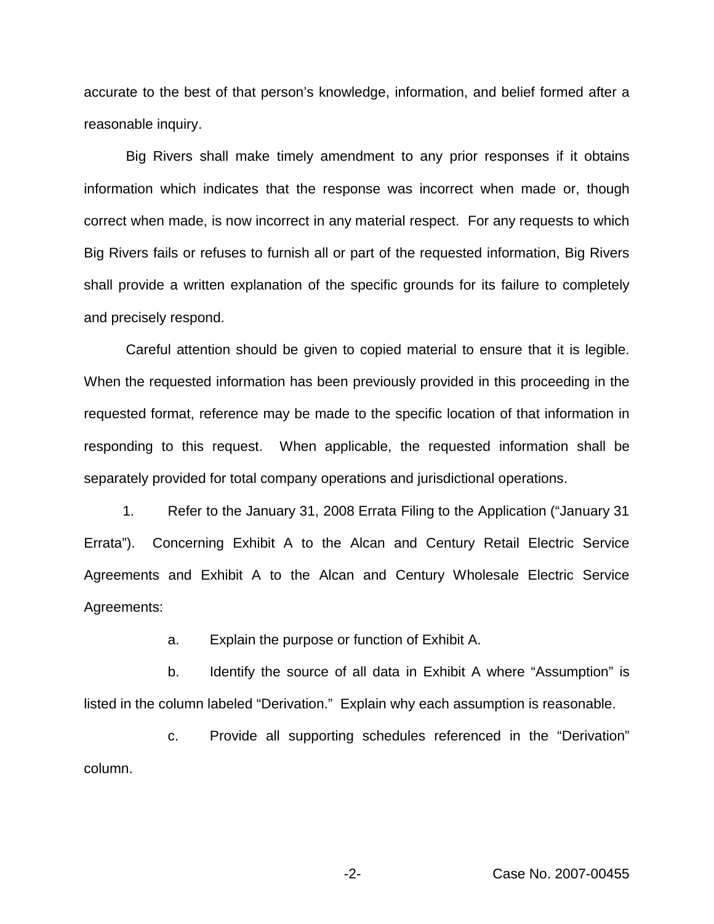accurate to the best of that person's knowledge, information, and belief formed after a reasonable inquiry.

Big Rivers shall make timely amendment to any prior responses if it obtains information which indicates that the response was incorrect when made or, though correct when made, is now incorrect in any material respect. For any requests to which Big Rivers fails or refuses to furnish all or part of the requested information, Big Rivers shall provide a written explanation of the specific grounds for its failure to completely and precisely respond.

Careful attention should be given to copied material to ensure that it is legible. When the requested information has been previously provided in this proceeding in the requested format, reference may be made to the specific location of that information in responding to this request. When applicable, the requested information shall be separately provided for total company operations and jurisdictional operations.

1. Refer to the January 31, 2008 Errata Filing to the Application ("January 31 Errata"). Concerning Exhibit A to the Alcan and Century Retail Electric Service Agreements and Exhibit A to the Alcan and Century Wholesale Electric Service Agreements:

a. Explain the purpose or function of Exhibit A.

b. Identify the source of all data in Exhibit A where "Assumption" is listed in the column labeled "Derivation." Explain why each assumption is reasonable.

c. Provide all supporting schedules referenced in the "Derivation" column.

-2- Case No. 2007-00455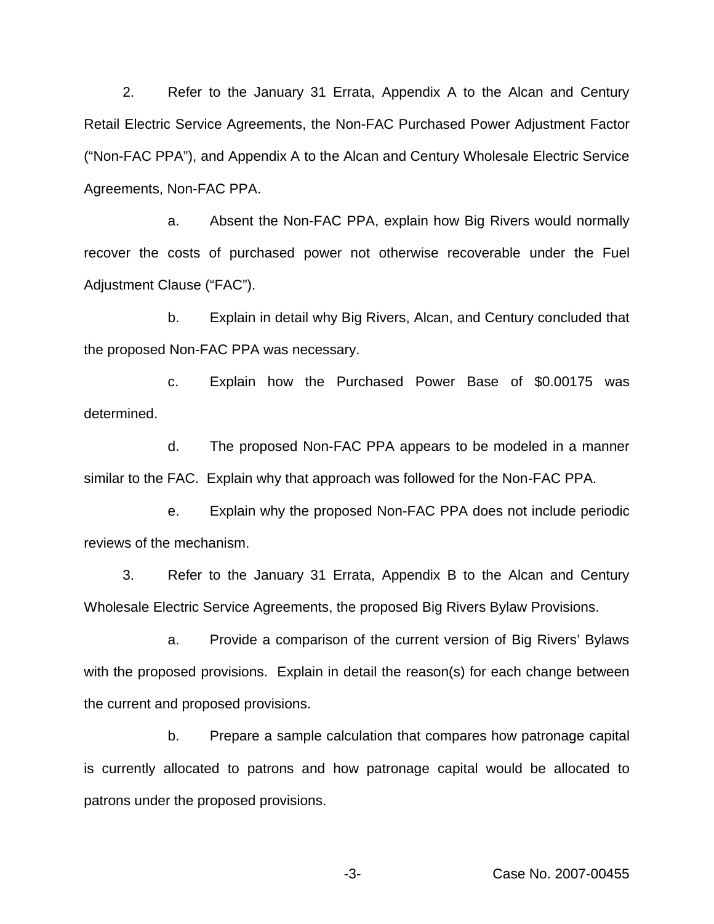2. Refer to the January 31 Errata, Appendix A to the Alcan and Century Retail Electric Service Agreements, the Non-FAC Purchased Power Adjustment Factor ("Non-FAC PPA"), and Appendix A to the Alcan and Century Wholesale Electric Service Agreements, Non-FAC PPA.

a. Absent the Non-FAC PPA, explain how Big Rivers would normally recover the costs of purchased power not otherwise recoverable under the Fuel Adjustment Clause ("FAC").

b. Explain in detail why Big Rivers, Alcan, and Century concluded that the proposed Non-FAC PPA was necessary.

c. Explain how the Purchased Power Base of \$0.00175 was determined.

d. The proposed Non-FAC PPA appears to be modeled in a manner similar to the FAC. Explain why that approach was followed for the Non-FAC PPA.

e. Explain why the proposed Non-FAC PPA does not include periodic reviews of the mechanism.

3. Refer to the January 31 Errata, Appendix B to the Alcan and Century Wholesale Electric Service Agreements, the proposed Big Rivers Bylaw Provisions.

a. Provide a comparison of the current version of Big Rivers' Bylaws with the proposed provisions. Explain in detail the reason(s) for each change between the current and proposed provisions.

b. Prepare a sample calculation that compares how patronage capital is currently allocated to patrons and how patronage capital would be allocated to patrons under the proposed provisions.

-3- Case No. 2007-00455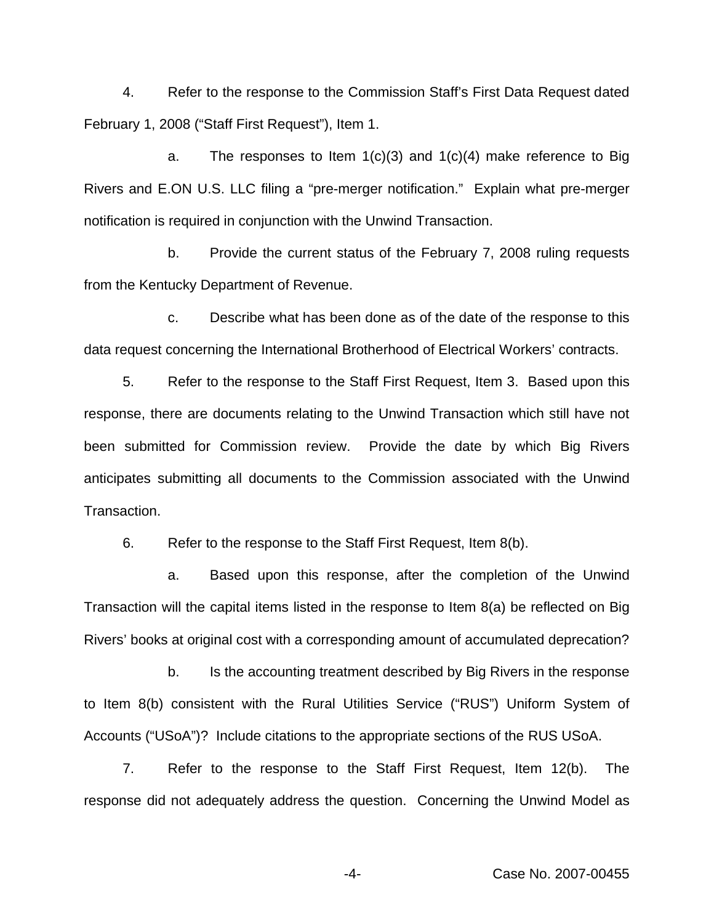4. Refer to the response to the Commission Staff's First Data Request dated February 1, 2008 ("Staff First Request"), Item 1.

a. The responses to Item  $1(c)(3)$  and  $1(c)(4)$  make reference to Big Rivers and E.ON U.S. LLC filing a "pre-merger notification." Explain what pre-merger notification is required in conjunction with the Unwind Transaction.

b. Provide the current status of the February 7, 2008 ruling requests from the Kentucky Department of Revenue.

c. Describe what has been done as of the date of the response to this data request concerning the International Brotherhood of Electrical Workers' contracts.

5. Refer to the response to the Staff First Request, Item 3. Based upon this response, there are documents relating to the Unwind Transaction which still have not been submitted for Commission review. Provide the date by which Big Rivers anticipates submitting all documents to the Commission associated with the Unwind Transaction.

6. Refer to the response to the Staff First Request, Item 8(b).

a. Based upon this response, after the completion of the Unwind Transaction will the capital items listed in the response to Item 8(a) be reflected on Big Rivers' books at original cost with a corresponding amount of accumulated deprecation?

b. Is the accounting treatment described by Big Rivers in the response to Item 8(b) consistent with the Rural Utilities Service ("RUS") Uniform System of Accounts ("USoA")? Include citations to the appropriate sections of the RUS USoA.

7. Refer to the response to the Staff First Request, Item 12(b). The response did not adequately address the question. Concerning the Unwind Model as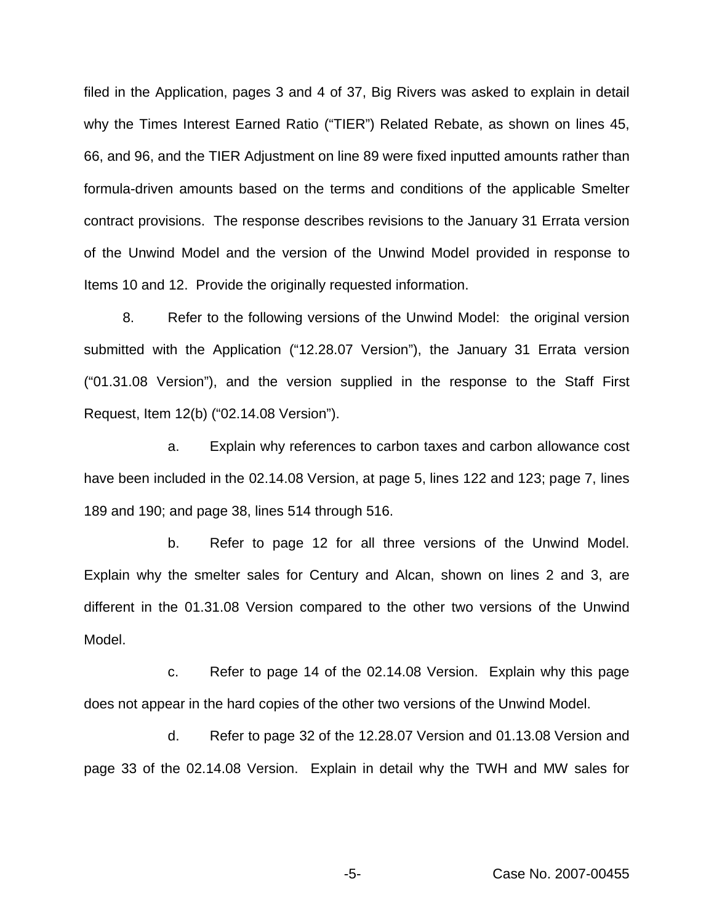filed in the Application, pages 3 and 4 of 37, Big Rivers was asked to explain in detail why the Times Interest Earned Ratio ("TIER") Related Rebate, as shown on lines 45, 66, and 96, and the TIER Adjustment on line 89 were fixed inputted amounts rather than formula-driven amounts based on the terms and conditions of the applicable Smelter contract provisions. The response describes revisions to the January 31 Errata version of the Unwind Model and the version of the Unwind Model provided in response to Items 10 and 12. Provide the originally requested information.

8. Refer to the following versions of the Unwind Model: the original version submitted with the Application ("12.28.07 Version"), the January 31 Errata version ("01.31.08 Version"), and the version supplied in the response to the Staff First Request, Item 12(b) ("02.14.08 Version").

a. Explain why references to carbon taxes and carbon allowance cost have been included in the 02.14.08 Version, at page 5, lines 122 and 123; page 7, lines 189 and 190; and page 38, lines 514 through 516.

b. Refer to page 12 for all three versions of the Unwind Model. Explain why the smelter sales for Century and Alcan, shown on lines 2 and 3, are different in the 01.31.08 Version compared to the other two versions of the Unwind Model.

c. Refer to page 14 of the 02.14.08 Version. Explain why this page does not appear in the hard copies of the other two versions of the Unwind Model.

d. Refer to page 32 of the 12.28.07 Version and 01.13.08 Version and page 33 of the 02.14.08 Version. Explain in detail why the TWH and MW sales for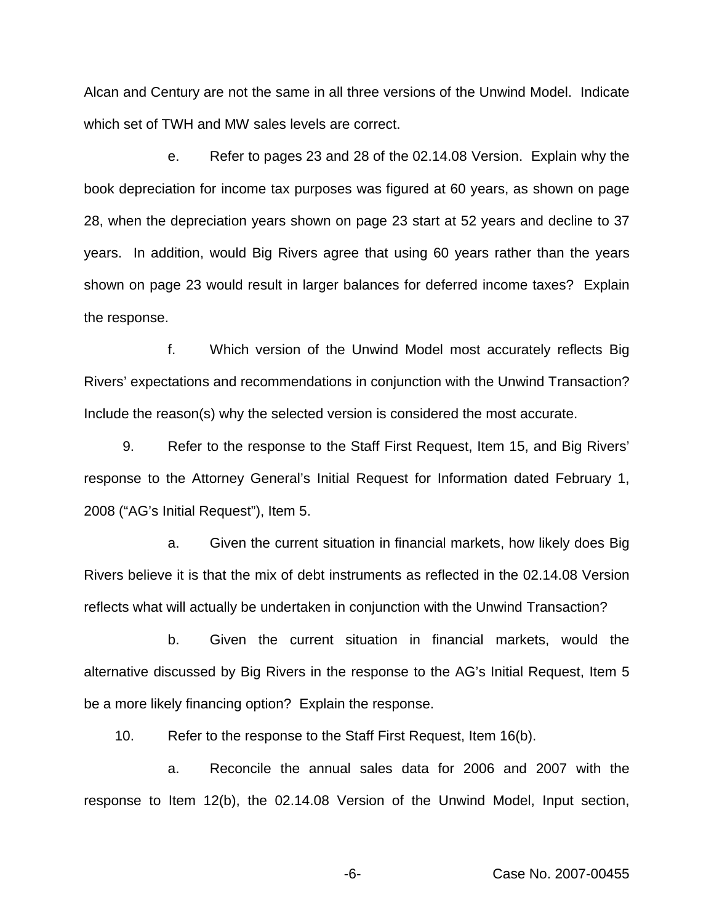Alcan and Century are not the same in all three versions of the Unwind Model. Indicate which set of TWH and MW sales levels are correct.

e. Refer to pages 23 and 28 of the 02.14.08 Version. Explain why the book depreciation for income tax purposes was figured at 60 years, as shown on page 28, when the depreciation years shown on page 23 start at 52 years and decline to 37 years. In addition, would Big Rivers agree that using 60 years rather than the years shown on page 23 would result in larger balances for deferred income taxes? Explain the response.

f. Which version of the Unwind Model most accurately reflects Big Rivers' expectations and recommendations in conjunction with the Unwind Transaction? Include the reason(s) why the selected version is considered the most accurate.

9. Refer to the response to the Staff First Request, Item 15, and Big Rivers' response to the Attorney General's Initial Request for Information dated February 1, 2008 ("AG's Initial Request"), Item 5.

a. Given the current situation in financial markets, how likely does Big Rivers believe it is that the mix of debt instruments as reflected in the 02.14.08 Version reflects what will actually be undertaken in conjunction with the Unwind Transaction?

b. Given the current situation in financial markets, would the alternative discussed by Big Rivers in the response to the AG's Initial Request, Item 5 be a more likely financing option? Explain the response.

10. Refer to the response to the Staff First Request, Item 16(b).

a. Reconcile the annual sales data for 2006 and 2007 with the response to Item 12(b), the 02.14.08 Version of the Unwind Model, Input section,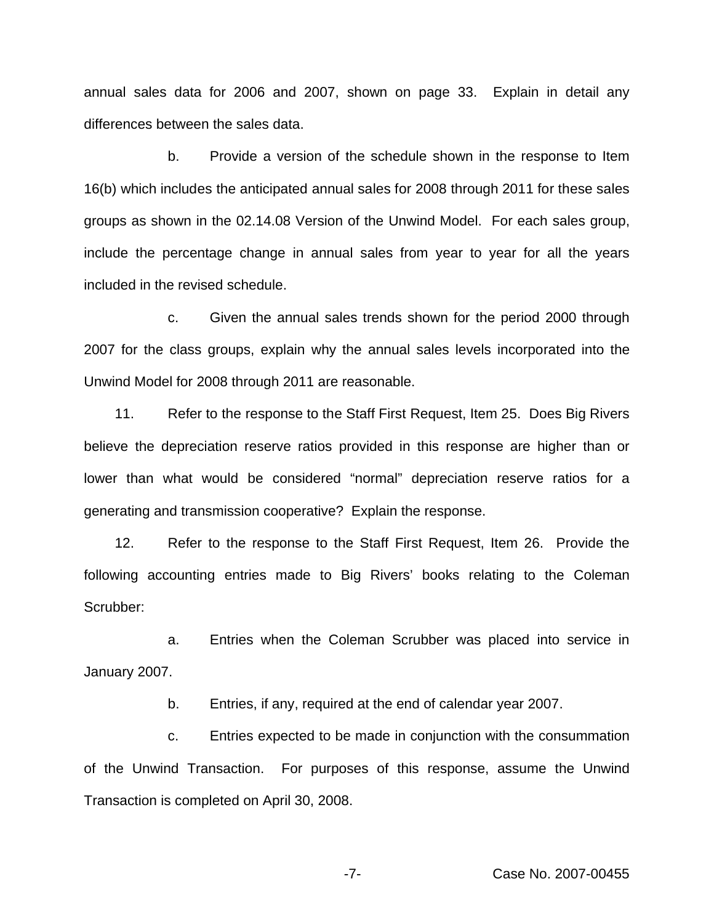annual sales data for 2006 and 2007, shown on page 33. Explain in detail any differences between the sales data.

b. Provide a version of the schedule shown in the response to Item 16(b) which includes the anticipated annual sales for 2008 through 2011 for these sales groups as shown in the 02.14.08 Version of the Unwind Model. For each sales group, include the percentage change in annual sales from year to year for all the years included in the revised schedule.

c. Given the annual sales trends shown for the period 2000 through 2007 for the class groups, explain why the annual sales levels incorporated into the Unwind Model for 2008 through 2011 are reasonable.

11. Refer to the response to the Staff First Request, Item 25. Does Big Rivers believe the depreciation reserve ratios provided in this response are higher than or lower than what would be considered "normal" depreciation reserve ratios for a generating and transmission cooperative? Explain the response.

12. Refer to the response to the Staff First Request, Item 26. Provide the following accounting entries made to Big Rivers' books relating to the Coleman Scrubber:

a. Entries when the Coleman Scrubber was placed into service in January 2007.

b. Entries, if any, required at the end of calendar year 2007.

c. Entries expected to be made in conjunction with the consummation of the Unwind Transaction. For purposes of this response, assume the Unwind Transaction is completed on April 30, 2008.

-7- Case No. 2007-00455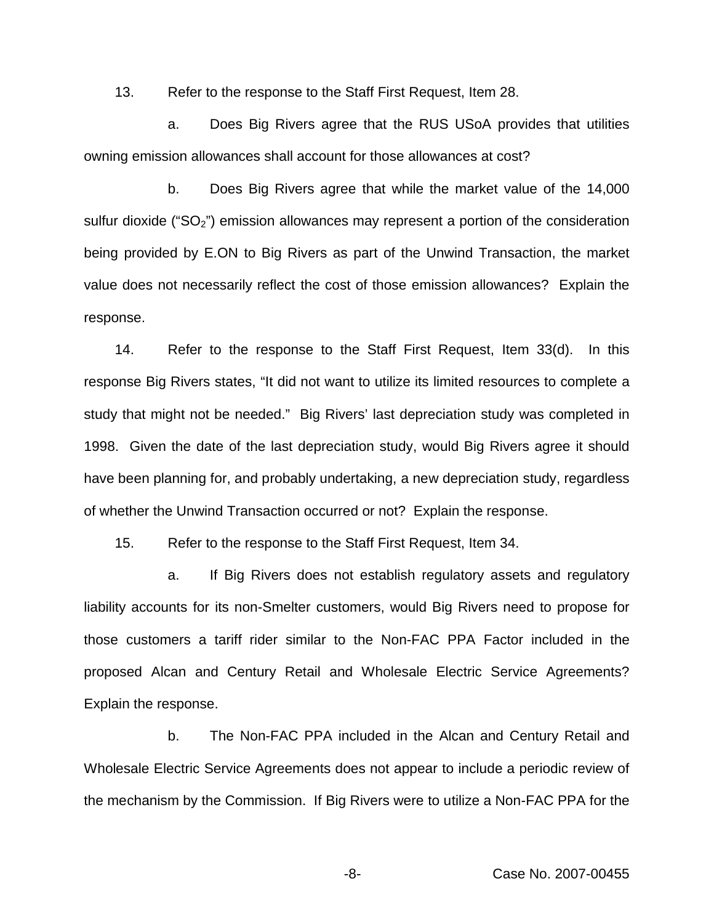13. Refer to the response to the Staff First Request, Item 28.

a. Does Big Rivers agree that the RUS USoA provides that utilities owning emission allowances shall account for those allowances at cost?

b. Does Big Rivers agree that while the market value of the 14,000 sulfur dioxide ("SO<sub>2</sub>") emission allowances may represent a portion of the consideration being provided by E.ON to Big Rivers as part of the Unwind Transaction, the market value does not necessarily reflect the cost of those emission allowances? Explain the response.

14. Refer to the response to the Staff First Request, Item 33(d). In this response Big Rivers states, "It did not want to utilize its limited resources to complete a study that might not be needed." Big Rivers' last depreciation study was completed in 1998. Given the date of the last depreciation study, would Big Rivers agree it should have been planning for, and probably undertaking, a new depreciation study, regardless of whether the Unwind Transaction occurred or not? Explain the response.

15. Refer to the response to the Staff First Request, Item 34.

a. If Big Rivers does not establish regulatory assets and regulatory liability accounts for its non-Smelter customers, would Big Rivers need to propose for those customers a tariff rider similar to the Non-FAC PPA Factor included in the proposed Alcan and Century Retail and Wholesale Electric Service Agreements? Explain the response.

b. The Non-FAC PPA included in the Alcan and Century Retail and Wholesale Electric Service Agreements does not appear to include a periodic review of the mechanism by the Commission. If Big Rivers were to utilize a Non-FAC PPA for the

-8- Case No. 2007-00455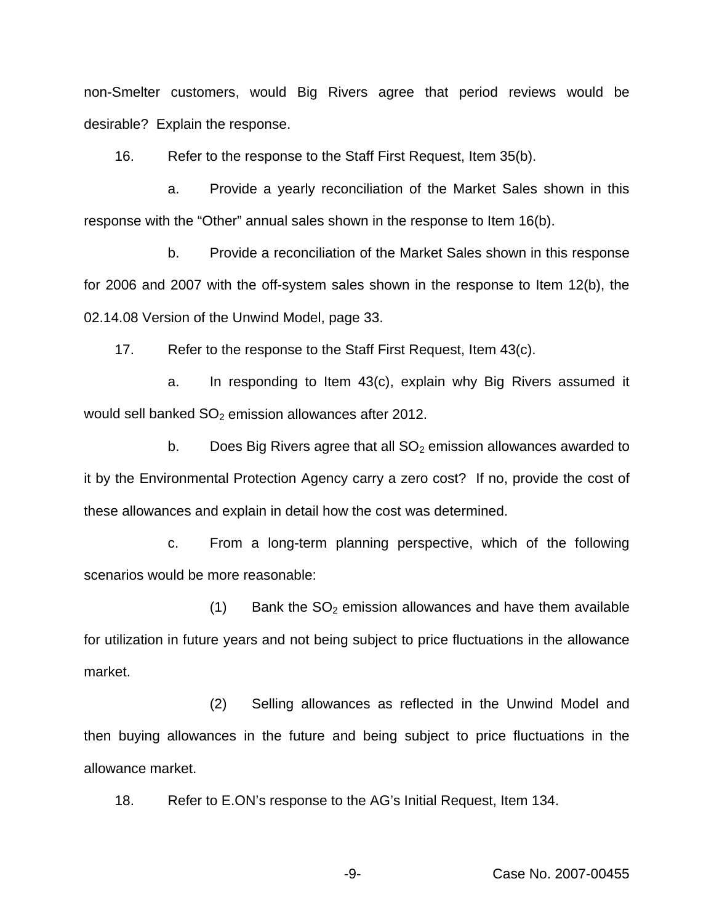non-Smelter customers, would Big Rivers agree that period reviews would be desirable? Explain the response.

16. Refer to the response to the Staff First Request, Item 35(b).

a. Provide a yearly reconciliation of the Market Sales shown in this response with the "Other" annual sales shown in the response to Item 16(b).

b. Provide a reconciliation of the Market Sales shown in this response for 2006 and 2007 with the off-system sales shown in the response to Item 12(b), the 02.14.08 Version of the Unwind Model, page 33.

17. Refer to the response to the Staff First Request, Item 43(c).

a. In responding to Item 43(c), explain why Big Rivers assumed it would sell banked  $SO<sub>2</sub>$  emission allowances after 2012.

b. Does Big Rivers agree that all  $SO<sub>2</sub>$  emission allowances awarded to it by the Environmental Protection Agency carry a zero cost? If no, provide the cost of these allowances and explain in detail how the cost was determined.

c. From a long-term planning perspective, which of the following scenarios would be more reasonable:

 $(1)$  Bank the SO<sub>2</sub> emission allowances and have them available for utilization in future years and not being subject to price fluctuations in the allowance market.

(2) Selling allowances as reflected in the Unwind Model and then buying allowances in the future and being subject to price fluctuations in the allowance market.

18. Refer to E.ON's response to the AG's Initial Request, Item 134.

-9- Case No. 2007-00455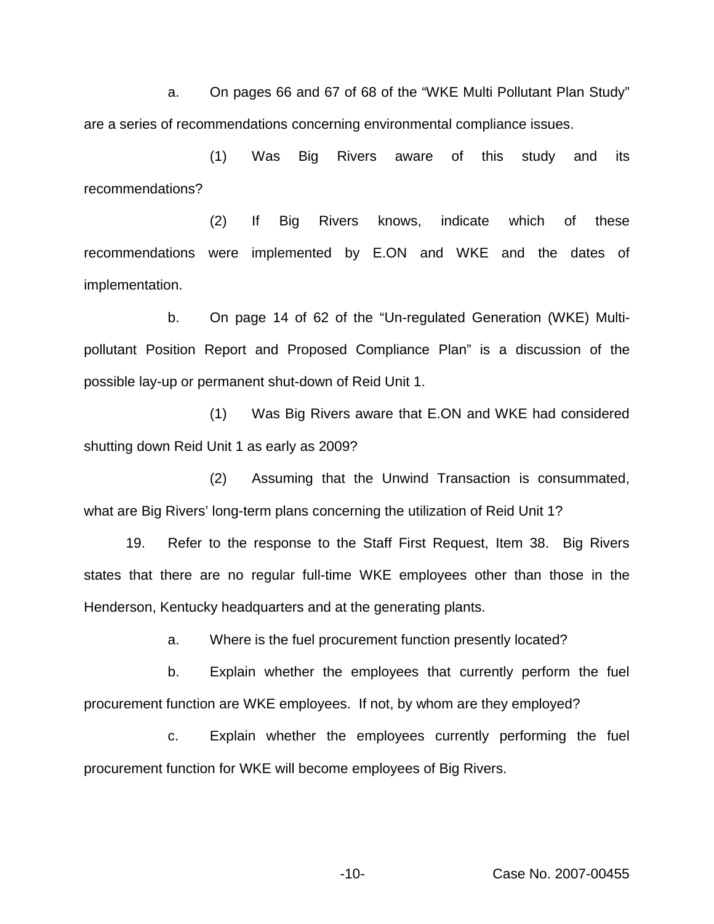a. On pages 66 and 67 of 68 of the "WKE Multi Pollutant Plan Study" are a series of recommendations concerning environmental compliance issues.

(1) Was Big Rivers aware of this study and its recommendations?

(2) If Big Rivers knows, indicate which of these recommendations were implemented by E.ON and WKE and the dates of implementation.

b. On page 14 of 62 of the "Un-regulated Generation (WKE) Multipollutant Position Report and Proposed Compliance Plan" is a discussion of the possible lay-up or permanent shut-down of Reid Unit 1.

(1) Was Big Rivers aware that E.ON and WKE had considered shutting down Reid Unit 1 as early as 2009?

(2) Assuming that the Unwind Transaction is consummated, what are Big Rivers' long-term plans concerning the utilization of Reid Unit 1?

19. Refer to the response to the Staff First Request, Item 38. Big Rivers states that there are no regular full-time WKE employees other than those in the Henderson, Kentucky headquarters and at the generating plants.

a. Where is the fuel procurement function presently located?

b. Explain whether the employees that currently perform the fuel procurement function are WKE employees. If not, by whom are they employed?

c. Explain whether the employees currently performing the fuel procurement function for WKE will become employees of Big Rivers.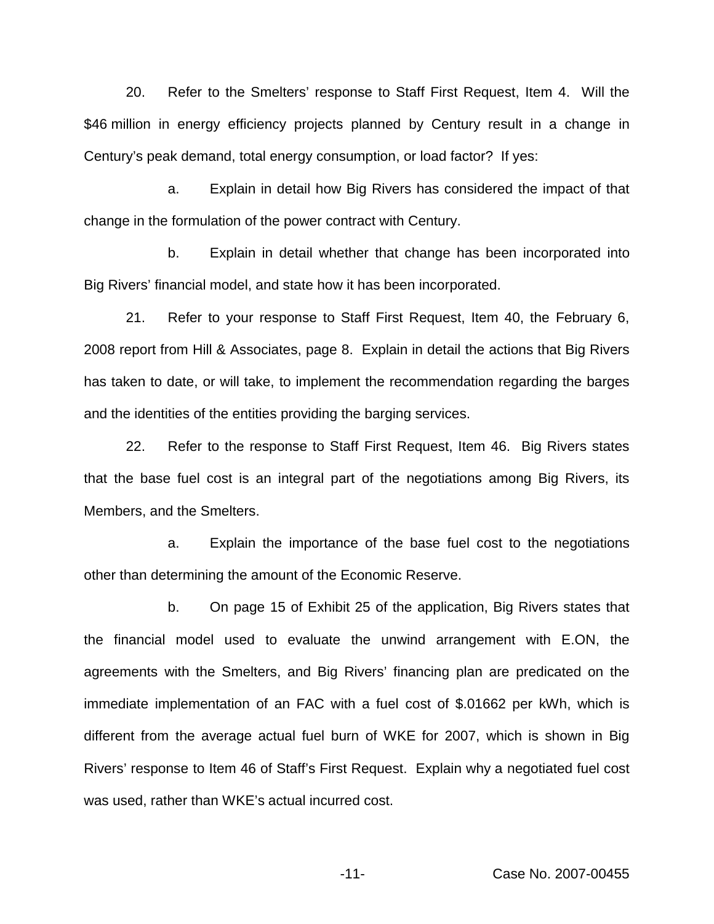20. Refer to the Smelters' response to Staff First Request, Item 4. Will the \$46 million in energy efficiency projects planned by Century result in a change in Century's peak demand, total energy consumption, or load factor? If yes:

a. Explain in detail how Big Rivers has considered the impact of that change in the formulation of the power contract with Century.

b. Explain in detail whether that change has been incorporated into Big Rivers' financial model, and state how it has been incorporated.

21. Refer to your response to Staff First Request, Item 40, the February 6, 2008 report from Hill & Associates, page 8. Explain in detail the actions that Big Rivers has taken to date, or will take, to implement the recommendation regarding the barges and the identities of the entities providing the barging services.

22. Refer to the response to Staff First Request, Item 46. Big Rivers states that the base fuel cost is an integral part of the negotiations among Big Rivers, its Members, and the Smelters.

a. Explain the importance of the base fuel cost to the negotiations other than determining the amount of the Economic Reserve.

b. On page 15 of Exhibit 25 of the application, Big Rivers states that the financial model used to evaluate the unwind arrangement with E.ON, the agreements with the Smelters, and Big Rivers' financing plan are predicated on the immediate implementation of an FAC with a fuel cost of \$.01662 per kWh, which is different from the average actual fuel burn of WKE for 2007, which is shown in Big Rivers' response to Item 46 of Staff's First Request. Explain why a negotiated fuel cost was used, rather than WKE's actual incurred cost.